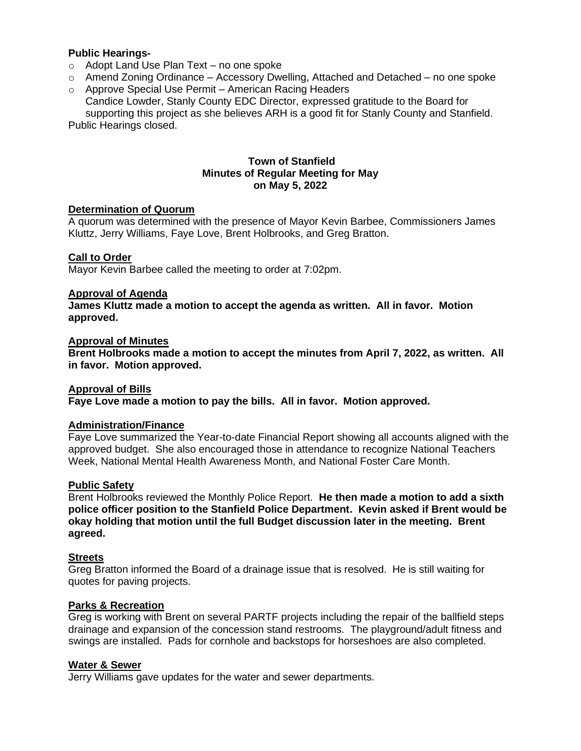## **Public Hearings-**

- o Adopt Land Use Plan Text no one spoke
- o Amend Zoning Ordinance Accessory Dwelling, Attached and Detached no one spoke
- o Approve Special Use Permit American Racing Headers Candice Lowder, Stanly County EDC Director, expressed gratitude to the Board for supporting this project as she believes ARH is a good fit for Stanly County and Stanfield. Public Hearings closed.

### **Town of Stanfield Minutes of Regular Meeting for May on May 5, 2022**

## **Determination of Quorum**

A quorum was determined with the presence of Mayor Kevin Barbee, Commissioners James Kluttz, Jerry Williams, Faye Love, Brent Holbrooks, and Greg Bratton.

#### **Call to Order**

Mayor Kevin Barbee called the meeting to order at 7:02pm.

#### **Approval of Agenda**

**James Kluttz made a motion to accept the agenda as written. All in favor. Motion approved.** 

#### **Approval of Minutes**

**Brent Holbrooks made a motion to accept the minutes from April 7, 2022, as written. All in favor. Motion approved.** 

#### **Approval of Bills**

**Faye Love made a motion to pay the bills. All in favor. Motion approved.** 

# **Administration/Finance**

Faye Love summarized the Year-to-date Financial Report showing all accounts aligned with the approved budget. She also encouraged those in attendance to recognize National Teachers Week, National Mental Health Awareness Month, and National Foster Care Month.

#### **Public Safety**

Brent Holbrooks reviewed the Monthly Police Report. **He then made a motion to add a sixth police officer position to the Stanfield Police Department. Kevin asked if Brent would be okay holding that motion until the full Budget discussion later in the meeting. Brent agreed.**

#### **Streets**

Greg Bratton informed the Board of a drainage issue that is resolved. He is still waiting for quotes for paving projects.

#### **Parks & Recreation**

Greg is working with Brent on several PARTF projects including the repair of the ballfield steps drainage and expansion of the concession stand restrooms. The playground/adult fitness and swings are installed. Pads for cornhole and backstops for horseshoes are also completed.

### **Water & Sewer**

Jerry Williams gave updates for the water and sewer departments.